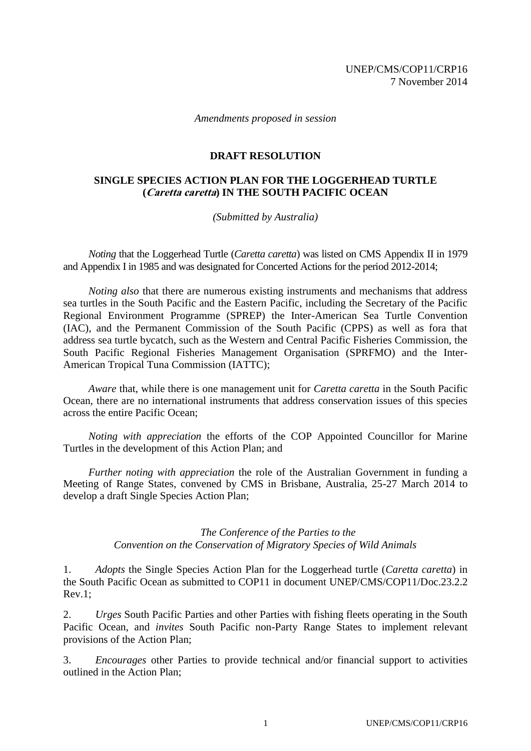*Amendments proposed in session*

## **DRAFT RESOLUTION**

## **SINGLE SPECIES ACTION PLAN FOR THE LOGGERHEAD TURTLE (Caretta caretta) IN THE SOUTH PACIFIC OCEAN**

*(Submitted by Australia)*

*Noting* that the Loggerhead Turtle (*Caretta caretta*) was listed on CMS Appendix II in 1979 and Appendix I in 1985 and was designated for Concerted Actions for the period 2012-2014;

*Noting also* that there are numerous existing instruments and mechanisms that address sea turtles in the South Pacific and the Eastern Pacific, including the Secretary of the Pacific Regional Environment Programme (SPREP) the Inter-American Sea Turtle Convention (IAC), and the Permanent Commission of the South Pacific (CPPS) as well as fora that address sea turtle bycatch, such as the Western and Central Pacific Fisheries Commission, the South Pacific Regional Fisheries Management Organisation (SPRFMO) and the Inter-American Tropical Tuna Commission (IATTC);

*Aware* that, while there is one management unit for *Caretta caretta* in the South Pacific Ocean, there are no international instruments that address conservation issues of this species across the entire Pacific Ocean;

*Noting with appreciation* the efforts of the COP Appointed Councillor for Marine Turtles in the development of this Action Plan; and

*Further noting with appreciation* the role of the Australian Government in funding a Meeting of Range States, convened by CMS in Brisbane, Australia, 25-27 March 2014 to develop a draft Single Species Action Plan;

> *The Conference of the Parties to the Convention on the Conservation of Migratory Species of Wild Animals*

1. *Adopts* the Single Species Action Plan for the Loggerhead turtle (*Caretta caretta*) in the South Pacific Ocean as submitted to COP11 in document UNEP/CMS/COP11/Doc.23.2.2 Rev.1;

2. *Urges* South Pacific Parties and other Parties with fishing fleets operating in the South Pacific Ocean, and *invites* South Pacific non-Party Range States to implement relevant provisions of the Action Plan;

3. *Encourages* other Parties to provide technical and/or financial support to activities outlined in the Action Plan;